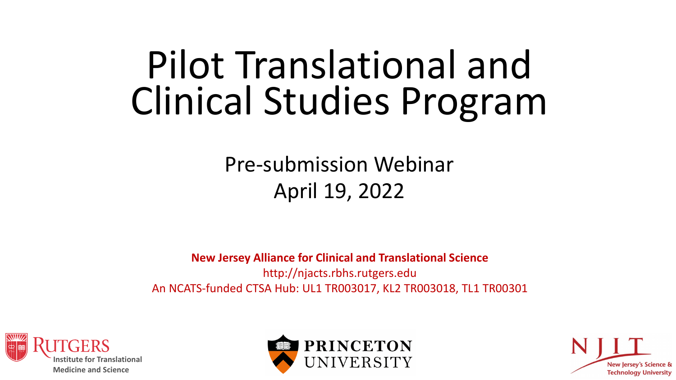# Pilot Translational and Clinical Studies Program

### Pre-submission Webinar April 19, 2022

**New Jersey Alliance for Clinical and Translational Science** http://njacts.rbhs.rutgers.edu An NCATS-funded CTSA Hub: UL1 TR003017, KL2 TR003018, TL1 TR00301





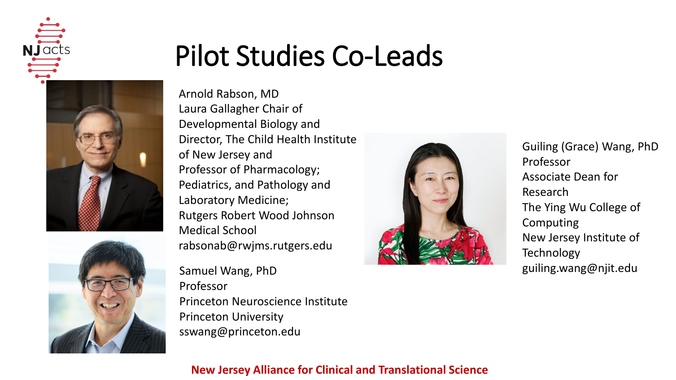



### Pilot Studies Co-Leads

Arnold Rabson, MD Laura Gallagher Chair of Developmental Biology and Director, The Child Health Institute of New Jersey and Professor of Pharmacology; Pediatrics, and Pathology and Laboratory Medicine; Rutgers Robert Wood Johnson Medical School rabsonab@rwjms.rutgers.edu

Samuel Wang, PhD Professor Princeton Neuroscience Institute Princeton University sswang@princeton.edu



Guiling (Grace) Wang, PhD Professor Associate Dean for Research The Ying Wu College of Computing New Jersey Institute of **Technology** guiling.wang@njit.edu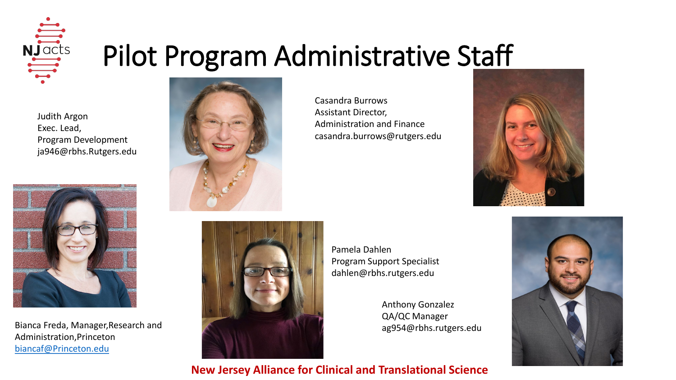

### Pilot Program Administrative Staff

Judith Argon Exec. Lead, Program Development ja946@rbhs.Rutgers.edu



Bianca Freda, Manager,Research and Administration,Princeton [biancaf@Princeton.edu](mailto:biancaf@Princeton.edu)



Casandra Burrows Assistant Director, Administration and Finance casandra.burrows@rutgers.edu

Pamela Dahlen

Program Support Specialist dahlen@rbhs.rutgers.edu

> Anthony Gonzalez QA/QC Manager

ag954@rbhs.rutgers.edu



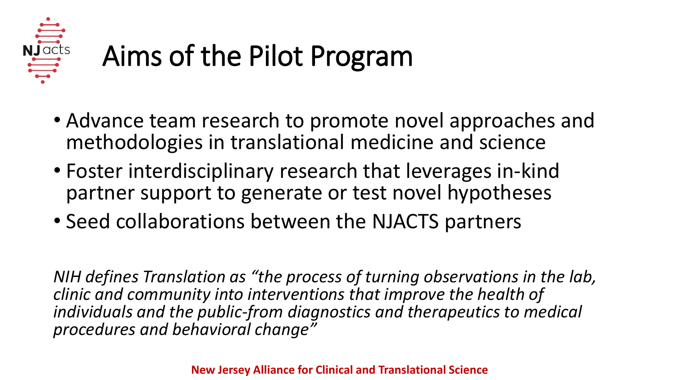

# Aims of the Pilot Program

- Advance team research to promote novel approaches and methodologies in translational medicine and science
- Foster interdisciplinary research that leverages in-kind partner support to generate or test novel hypotheses
- Seed collaborations between the NJACTS partners

*NIH defines Translation as "the process of turning observations in the lab, clinic and community into interventions that improve the health of individuals and the public-from diagnostics and therapeutics to medical procedures and behavioral change"*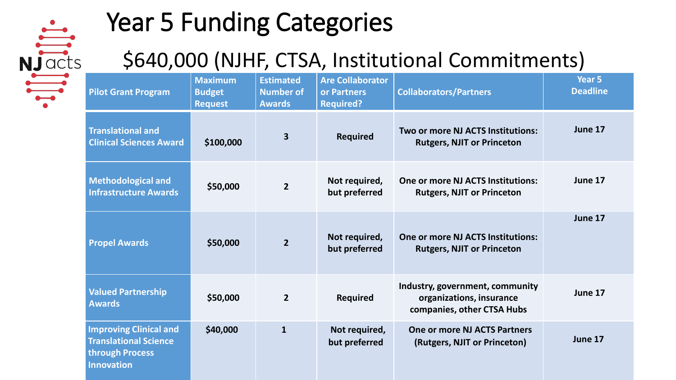

### Year 5 Funding Categories

### \$640,000 (NJHF, CTSA, Institutional Commitments)

| <b>Pilot Grant Program</b>                                                                            | <b>Maximum</b><br><b>Budget</b><br><b>Request</b> | <b>Estimated</b><br><b>Number of</b><br><b>Awards</b> | <b>Are Collaborator</b><br>or Partners<br><b>Required?</b> | <b>Collaborators/Partners</b>                                                             | Year <sub>5</sub><br><b>Deadline</b> |
|-------------------------------------------------------------------------------------------------------|---------------------------------------------------|-------------------------------------------------------|------------------------------------------------------------|-------------------------------------------------------------------------------------------|--------------------------------------|
| <b>Translational and</b><br><b>Clinical Sciences Award</b>                                            | \$100,000                                         | $\overline{\mathbf{3}}$                               | <b>Required</b>                                            | Two or more NJ ACTS Institutions:<br><b>Rutgers, NJIT or Princeton</b>                    | June 17                              |
| <b>Methodological and</b><br><b>Infrastructure Awards</b>                                             | \$50,000                                          | $\overline{2}$                                        | Not required,<br>but preferred                             | <b>One or more NJ ACTS Institutions:</b><br><b>Rutgers, NJIT or Princeton</b>             | June 17                              |
| <b>Propel Awards</b>                                                                                  | \$50,000                                          | $\overline{2}$                                        | Not required,<br>but preferred                             | <b>One or more NJ ACTS Institutions:</b><br><b>Rutgers, NJIT or Princeton</b>             | June 17                              |
| <b>Valued Partnership</b><br><b>Awards</b>                                                            | \$50,000                                          | $\overline{2}$                                        | <b>Required</b>                                            | Industry, government, community<br>organizations, insurance<br>companies, other CTSA Hubs | June 17                              |
| <b>Improving Clinical and</b><br><b>Translational Science</b><br>through Process<br><b>Innovation</b> | \$40,000                                          | $\mathbf{1}$                                          | Not required,<br>but preferred                             | One or more NJ ACTS Partners<br>(Rutgers, NJIT or Princeton)                              | June 17                              |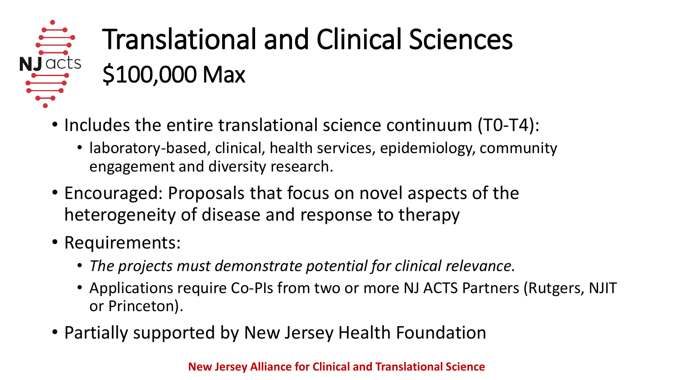### NJacts Translational and Clinical Sciences \$100,000 Max

- Includes the entire translational science continuum (T0-T4):
	- laboratory-based, clinical, health services, epidemiology, community engagement and diversity research.
- Encouraged: Proposals that focus on novel aspects of the heterogeneity of disease and response to therapy
- Requirements:
	- *The projects must demonstrate potential for clinical relevance.*
	- Applications require Co-PIs from two or more NJ ACTS Partners (Rutgers, NJIT or Princeton).
- Partially supported by New Jersey Health Foundation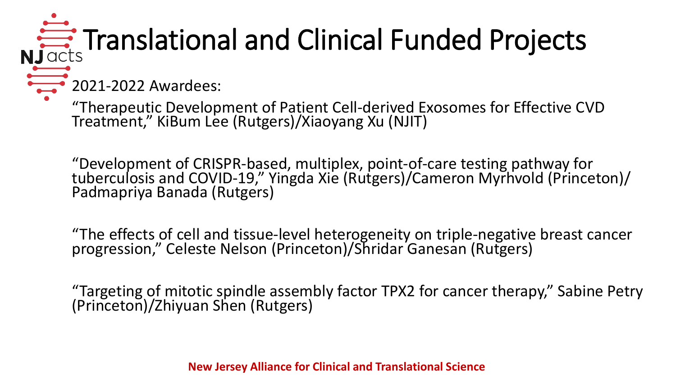# **NJacts** Translational and Clinical Funded Projects

**2021-2022 Awardees:** 

"Therapeutic Development of Patient Cell-derived Exosomes for Effective CVD Treatment," KiBum Lee (Rutgers)/Xiaoyang Xu (NJIT)

"Development of CRISPR-based, multiplex, point-of-care testing pathway for<br>tuberculosis and COVID-19," Yingda Xie (Rutgers)/Cameron Myrhvold (Princeton)/<br>Padmapriya Banada (Rutgers)

"The effects of cell and tissue-level heterogeneity on triple-negative breast cancer<br>progression," Celeste Nelson (Princeton)/Shridar Ganesan (Rutgers)

"Targeting of mitotic spindle assembly factor TPX2 for cancer therapy," Sabine Petry (Princeton)/Zhiyuan Shen (Rutgers)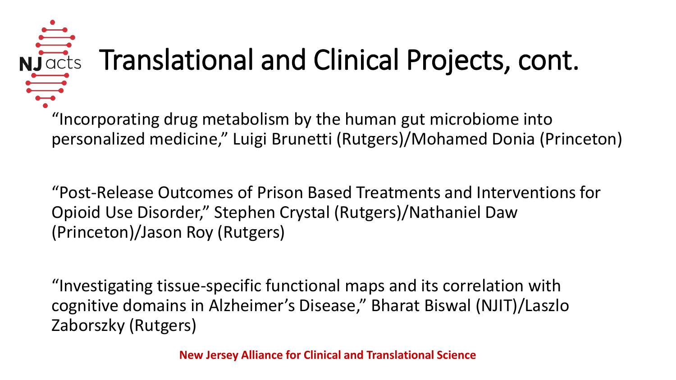# Nuclear Translational and Clinical Projects, cont.

"Incorporating drug metabolism by the human gut microbiome into personalized medicine," Luigi Brunetti (Rutgers)/Mohamed Donia (Princeton)

"Post-Release Outcomes of Prison Based Treatments and Interventions for Opioid Use Disorder," Stephen Crystal (Rutgers)/Nathaniel Daw (Princeton)/Jason Roy (Rutgers)

"Investigating tissue-specific functional maps and its correlation with cognitive domains in Alzheimer's Disease," Bharat Biswal (NJIT)/Laszlo Zaborszky (Rutgers)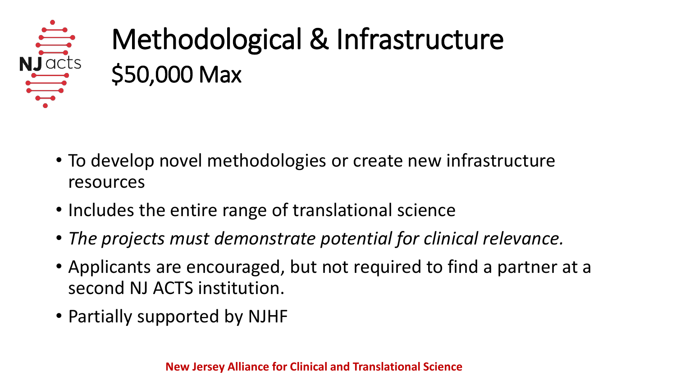

# Methodological & Infrastructure \$50,000 Max

- To develop novel methodologies or create new infrastructure resources
- Includes the entire range of translational science
- *The projects must demonstrate potential for clinical relevance.*
- Applicants are encouraged, but not required to find a partner at a second NJ ACTS institution.
- Partially supported by NJHF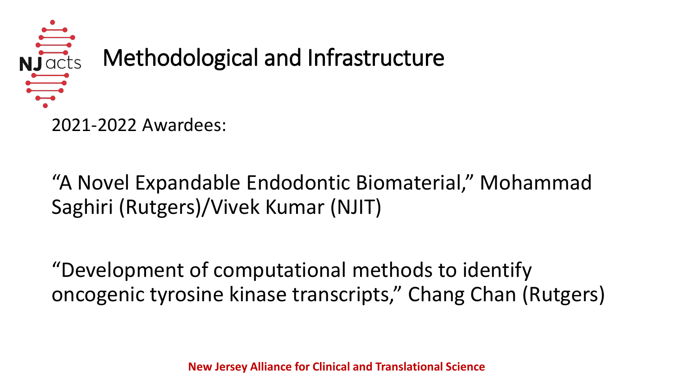

"A Novel Expandable Endodontic Biomaterial," Mohammad Saghiri (Rutgers)/Vivek Kumar (NJIT)

"Development of computational methods to identify oncogenic tyrosine kinase transcripts," Chang Chan (Rutgers)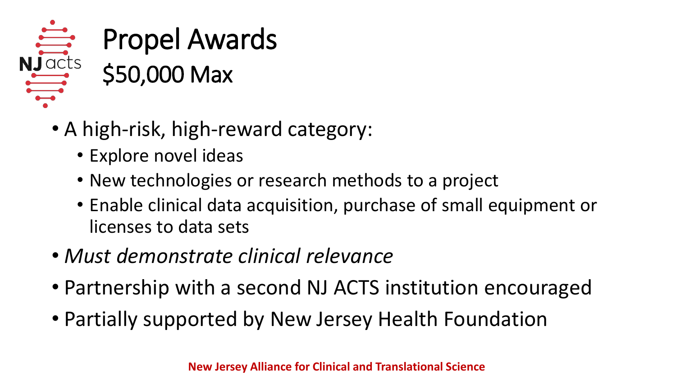

- A high-risk, high-reward category:
	- Explore novel ideas
	- New technologies or research methods to a project
	- Enable clinical data acquisition, purchase of small equipment or licenses to data sets
- *Must demonstrate clinical relevance*
- Partnership with a second NJ ACTS institution encouraged
- Partially supported by New Jersey Health Foundation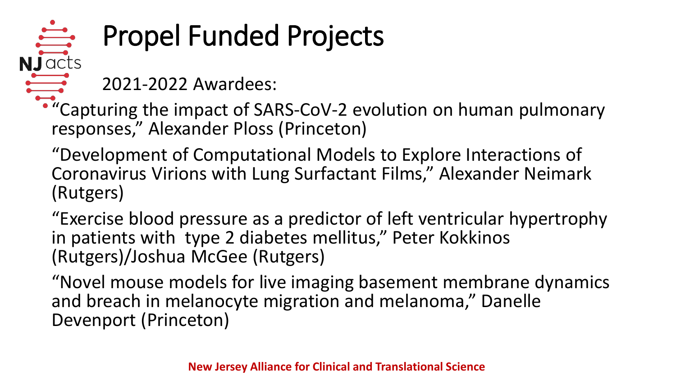### NJacts Propel Funded Projects

2021-2022 Awardees:

"Capturing the impact of SARS-CoV-2 evolution on human pulmonary responses," Alexander Ploss (Princeton)

"Development of Computational Models to Explore Interactions of Coronavirus Virions with Lung Surfactant Films," Alexander Neimark (Rutgers)

"Exercise blood pressure as a predictor of left ventricular hypertrophy in patients with type 2 diabetes mellitus," Peter Kokkinos (Rutgers)/Joshua McGee (Rutgers)

"Novel mouse models for live imaging basement membrane dynamics and breach in melanocyte migration and melanoma," Danelle Devenport (Princeton)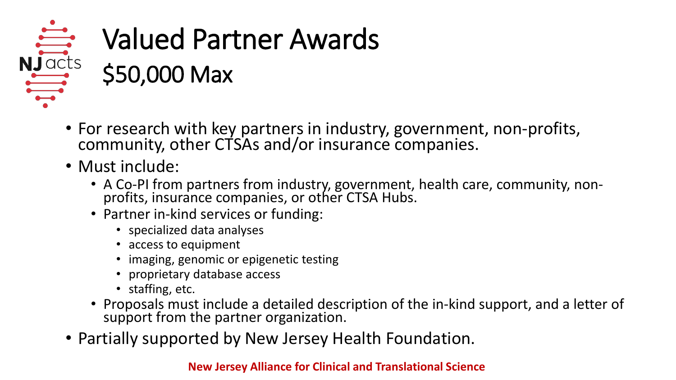# Valued Partner Awards  $\frac{1}{\frac{1}{2}}$  Valued Par

- For research with key partners in industry, government, non-profits, community, other CTSAs and/or insurance companies.
- Must include:
	- A Co-PI from partners from industry, government, health care, community, non- profits, insurance companies, or other CTSA Hubs.
	- Partner in-kind services or funding:
		- specialized data analyses
		- access to equipment
		- imaging, genomic or epigenetic testing
		- proprietary database access
		- staffing, etc.
	- Proposals must include a detailed description of the in-kind support, and a letter of support from the partner organization.
- Partially supported by New Jersey Health Foundation.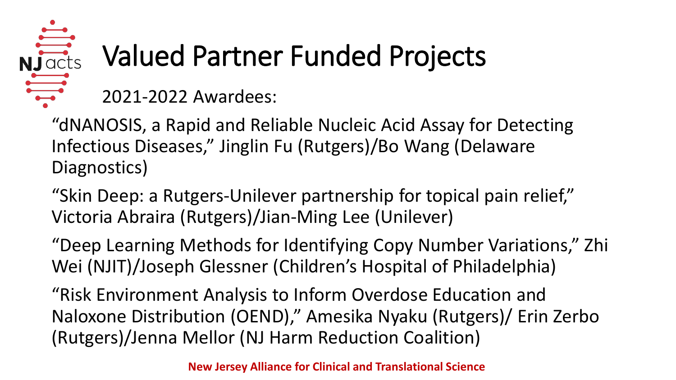# Valued Partner Funded Projects

2021-2022 Awardees:

"dNANOSIS, a Rapid and Reliable Nucleic Acid Assay for Detecting Infectious Diseases," Jinglin Fu (Rutgers)/Bo Wang (Delaware Diagnostics)

"Skin Deep: a Rutgers-Unilever partnership for topical pain relief," Victoria Abraira (Rutgers)/Jian-Ming Lee (Unilever)

"Deep Learning Methods for Identifying Copy Number Variations," Zhi Wei (NJIT)/Joseph Glessner (Children's Hospital of Philadelphia)

"Risk Environment Analysis to Inform Overdose Education and Naloxone Distribution (OEND)," Amesika Nyaku (Rutgers)/ Erin Zerbo (Rutgers)/Jenna Mellor (NJ Harm Reduction Coalition)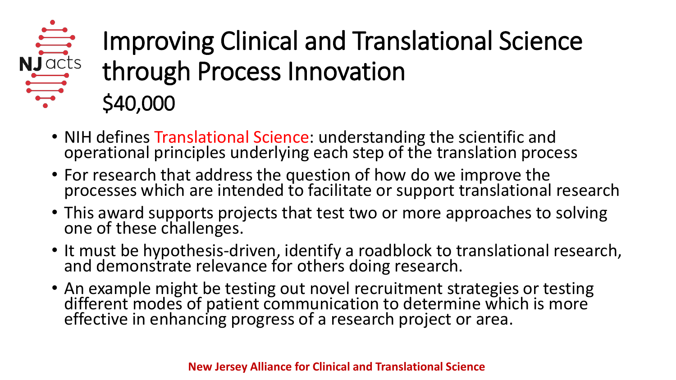## Improving Clinical and Translational Science<br>
through Process Innovation through Process Innovation \$40,000

- NIH defines Translational Science: understanding the scientific and operational principles underlying each step of the translation process
- For research that address the question of how do we improve the processes which are intended to facilitate or support translational research
- This award supports projects that test two or more approaches to solving one of these challenges.
- It must be hypothesis-driven, identify a roadblock to translational research, and demonstrate relevance for others doing research.
- An example might be testing out novel recruitment strategies or testing different modes of patient communication to determine which is more effective in enhancing progress of a research project or area.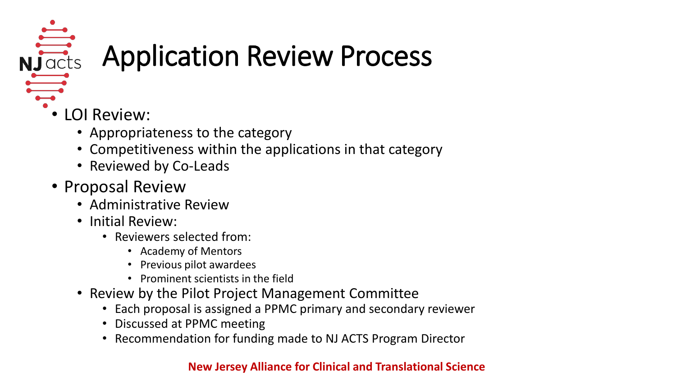

# $N<sub>j</sub>and $\frac{N<sub>j</sub>...}{N<sub>j</sub>}$$

- LOI Review:
	- Appropriateness to the category
	- Competitiveness within the applications in that category
	- Reviewed by Co-Leads
- Proposal Review
	- Administrative Review
	- Initial Review:
		- Reviewers selected from:
			- Academy of Mentors
			- Previous pilot awardees
			- Prominent scientists in the field
	- Review by the Pilot Project Management Committee
		- Each proposal is assigned a PPMC primary and secondary reviewer
		- Discussed at PPMC meeting
		- Recommendation for funding made to NJ ACTS Program Director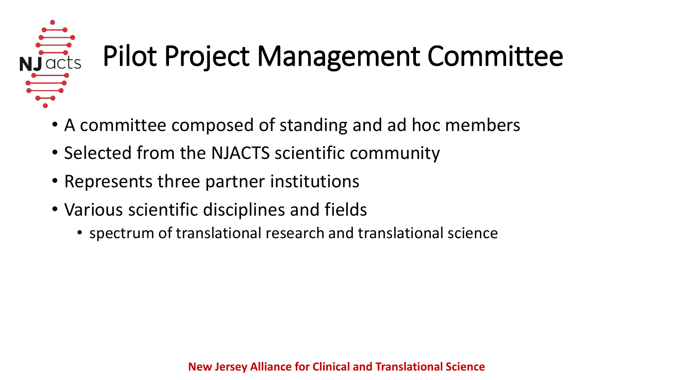

# $\frac{1}{2}$ Pilot Project Management Committee

- A committee composed of standing and ad hoc members
- Selected from the NJACTS scientific community
- Represents three partner institutions
- Various scientific disciplines and fields
	- spectrum of translational research and translational science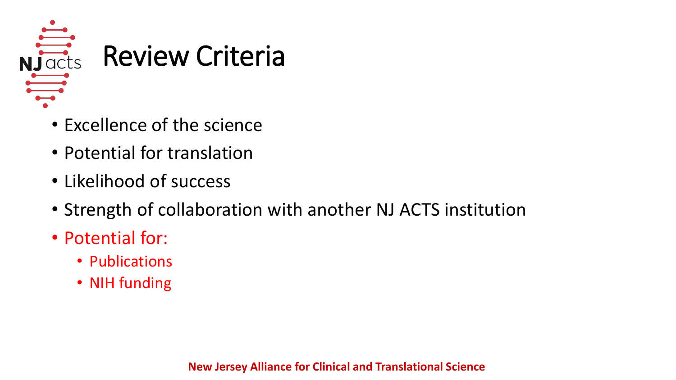

- Excellence of the science
- Potential for translation
- Likelihood of success
- Strength of collaboration with another NJ ACTS institution
- Potential for:
	- Publications
	- NIH funding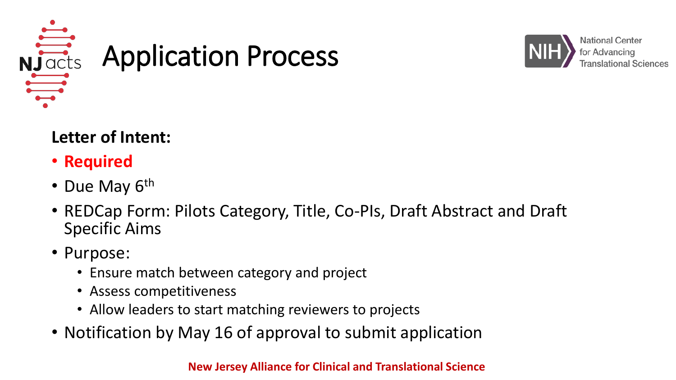



#### **Letter of Intent:**

- **Required**
- Due May 6<sup>th</sup>
- REDCap Form: Pilots Category, Title, Co-PIs, Draft Abstract and Draft Specific Aims
- Purpose:
	- Ensure match between category and project
	- Assess competitiveness
	- Allow leaders to start matching reviewers to projects
- Notification by May 16 of approval to submit application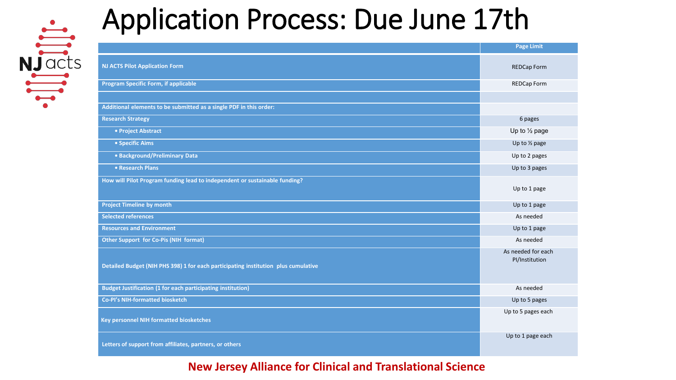

|                                                       | <b>Application Process: Due June 17th</b>                                          |                                      |  |  |  |
|-------------------------------------------------------|------------------------------------------------------------------------------------|--------------------------------------|--|--|--|
| $N\frac{\frac{1}{\sqrt{100}}}{\frac{1}{\sqrt{100}}}}$ |                                                                                    | <b>Page Limit</b>                    |  |  |  |
|                                                       | <b>NJ ACTS Pilot Application Form</b>                                              | <b>REDCap Form</b>                   |  |  |  |
|                                                       | <b>Program Specific Form, if applicable</b>                                        | <b>REDCap Form</b>                   |  |  |  |
|                                                       | Additional elements to be submitted as a single PDF in this order:                 |                                      |  |  |  |
|                                                       | <b>Research Strategy</b>                                                           | 6 pages                              |  |  |  |
|                                                       | • Project Abstract                                                                 | Up to $\frac{1}{2}$ page             |  |  |  |
|                                                       | • Specific Aims                                                                    | Up to $\frac{1}{2}$ page             |  |  |  |
|                                                       | • Background/Preliminary Data                                                      | Up to 2 pages                        |  |  |  |
|                                                       | • Research Plans                                                                   | Up to 3 pages                        |  |  |  |
|                                                       | How will Pilot Program funding lead to independent or sustainable funding?         | Up to 1 page                         |  |  |  |
|                                                       | <b>Project Timeline by month</b>                                                   | Up to 1 page                         |  |  |  |
|                                                       | <b>Selected references</b>                                                         | As needed                            |  |  |  |
|                                                       | <b>Resources and Environment</b>                                                   | Up to 1 page                         |  |  |  |
|                                                       | <b>Other Support for Co-Pis (NIH format)</b>                                       | As needed                            |  |  |  |
|                                                       | Detailed Budget (NIH PHS 398) 1 for each participating institution plus cumulative | As needed for each<br>PI/Institution |  |  |  |
|                                                       | <b>Budget Justification (1 for each participating institution)</b>                 | As needed                            |  |  |  |
|                                                       | Co-Pl's NIH-formatted biosketch                                                    | Up to 5 pages                        |  |  |  |
|                                                       | <b>Key personnel NIH formatted biosketches</b>                                     | Up to 5 pages each                   |  |  |  |
|                                                       | Letters of support from affiliates, partners, or others                            | Up to 1 page each                    |  |  |  |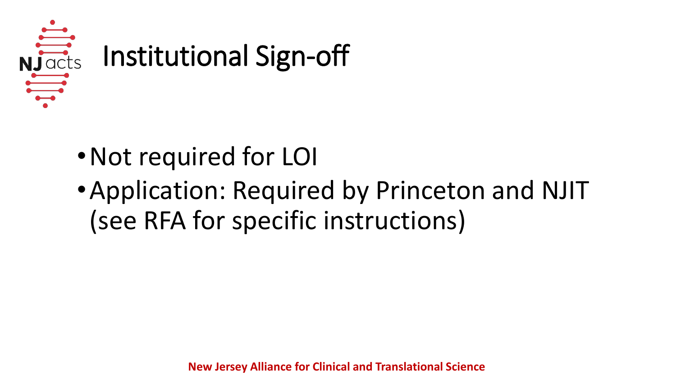

- •Not required for LOI
- •Application: Required by Princeton and NJIT (see RFA for specific instructions)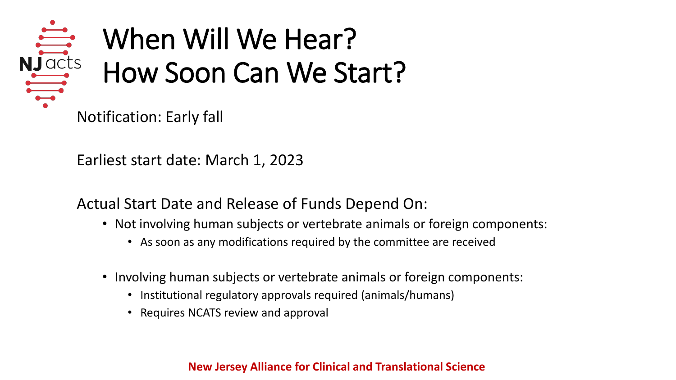

# When Will We Hear? How Soon Can We Start? When Wil<br>
Nullacts<br>
How Soon

Earliest start date: March 1, 2023

Actual Start Date and Release of Funds Depend On:

- Not involving human subjects or vertebrate animals or foreign components:
	- As soon as any modifications required by the committee are received
- Involving human subjects or vertebrate animals or foreign components:
	- Institutional regulatory approvals required (animals/humans)
	- Requires NCATS review and approval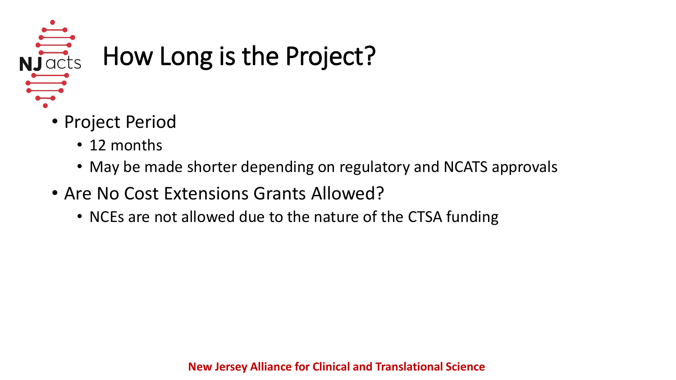

# $\frac{1}{\frac{1}{\sqrt{100}}}}$  How Long is the Project?

- Project Period
	- 12 months
	- May be made shorter depending on regulatory and NCATS approvals
- Are No Cost Extensions Grants Allowed?
	- NCEs are not allowed due to the nature of the CTSA funding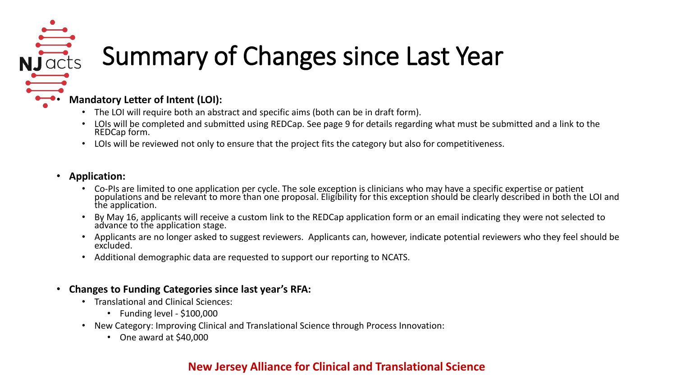# Nummary of Changes since Last Year

#### • **Mandatory Letter of Intent (LOI):**

- The LOI will require both an abstract and specific aims (both can be in draft form).
- LOIs will be completed and submitted using REDCap. See page 9 for details regarding what must be submitted and a link to the REDCap form.
- LOIs will be reviewed not only to ensure that the project fits the category but also for competitiveness.

#### • **Application:**

- Co-PIs are limited to one application per cycle. The sole exception is clinicians who may have a specific expertise or patient<br>populations and be relevant to more than one proposal. Eligibility for this exception should be the application.
- By May 16, applicants will receive a custom link to the REDCap application form or an email indicating they were not selected to<br>advance to the application stage.
- Applicants are no longer asked to suggest reviewers. Applicants can, however, indicate potential reviewers who they feel should be excluded.
- Additional demographic data are requested to support our reporting to NCATS.

#### • **Changes to Funding Categories since last year's RFA:**

- Translational and Clinical Sciences:
	- Funding level \$100,000
- New Category: Improving Clinical and Translational Science through Process Innovation:
	- One award at \$40,000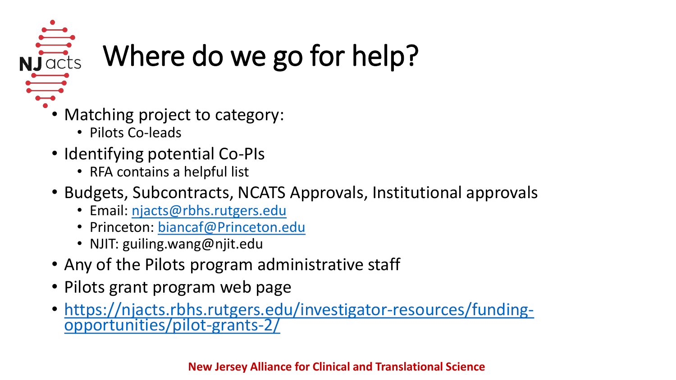

# $\frac{1}{\frac{1}{\sqrt{100}}}}$  Where do we go for help?

- Matching project to category:
	- Pilots Co-leads
- Identifying potential Co-PIs
	- RFA contains a helpful list
- Budgets, Subcontracts, NCATS Approvals, Institutional approvals
	- Email: [njacts@rbhs.rutgers.edu](mailto:njacts@rbhs.rutgers.edu)
	- Princeton: [biancaf@Princeton.edu](mailto:biancaf@Princeton.edu)
	- NJIT: guiling.wang@njit.edu
- Any of the Pilots program administrative staff
- Pilots grant program web page
- [https://njacts.rbhs.rutgers.edu/investigator-resources/funding-](https://njacts.rbhs.rutgers.edu/investigator-resources/funding-opportunities/pilot-grants-2/)<br>opportunities/pilot-grants-2/